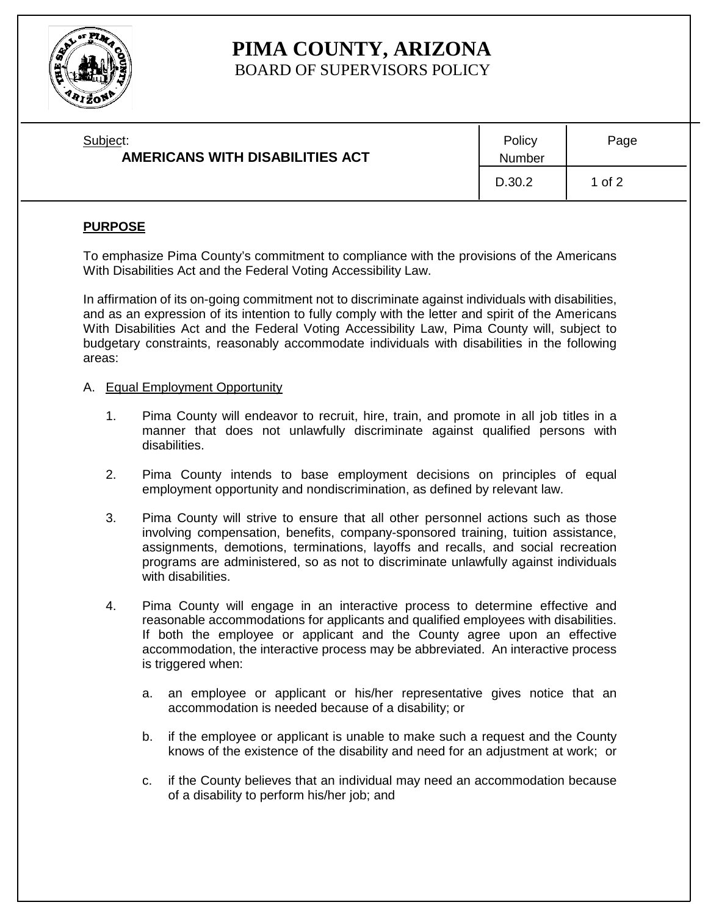

# **PIMA COUNTY, ARIZONA** BOARD OF SUPERVISORS POLICY

| Subject:<br>AMERICANS WITH DISABILITIES ACT | Policy<br>Number | Page   |
|---------------------------------------------|------------------|--------|
|                                             | D.30.2           | 1 of 2 |

# **PURPOSE**

To emphasize Pima County's commitment to compliance with the provisions of the Americans With Disabilities Act and the Federal Voting Accessibility Law.

In affirmation of its on-going commitment not to discriminate against individuals with disabilities, and as an expression of its intention to fully comply with the letter and spirit of the Americans With Disabilities Act and the Federal Voting Accessibility Law, Pima County will, subject to budgetary constraints, reasonably accommodate individuals with disabilities in the following areas:

## A. Equal Employment Opportunity

- 1. Pima County will endeavor to recruit, hire, train, and promote in all job titles in a manner that does not unlawfully discriminate against qualified persons with disabilities.
- 2. Pima County intends to base employment decisions on principles of equal employment opportunity and nondiscrimination, as defined by relevant law.
- 3. Pima County will strive to ensure that all other personnel actions such as those involving compensation, benefits, company-sponsored training, tuition assistance, assignments, demotions, terminations, layoffs and recalls, and social recreation programs are administered, so as not to discriminate unlawfully against individuals with disabilities.
- 4. Pima County will engage in an interactive process to determine effective and reasonable accommodations for applicants and qualified employees with disabilities. If both the employee or applicant and the County agree upon an effective accommodation, the interactive process may be abbreviated. An interactive process is triggered when:
	- a. an employee or applicant or his/her representative gives notice that an accommodation is needed because of a disability; or
	- b. if the employee or applicant is unable to make such a request and the County knows of the existence of the disability and need for an adjustment at work; or
	- c. if the County believes that an individual may need an accommodation because of a disability to perform his/her job; and